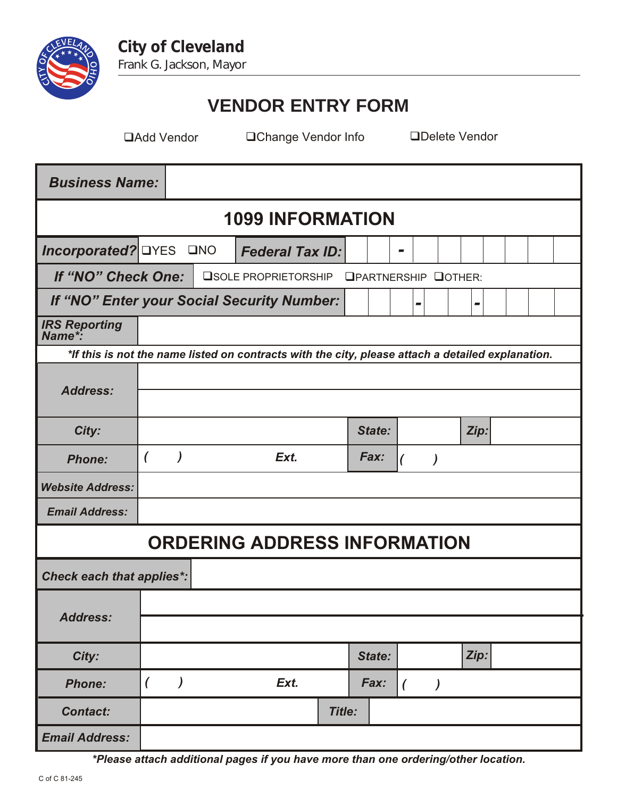

## **VENDOR ENTRY FORM**

Add Vendor Change Vendor Info Delete Vendor

| <b>Business Name:</b>                                                                             |                               |         |  |                             |               |        |        |                          |                          |                          |      |      |  |  |  |
|---------------------------------------------------------------------------------------------------|-------------------------------|---------|--|-----------------------------|---------------|--------|--------|--------------------------|--------------------------|--------------------------|------|------|--|--|--|
| <b>1099 INFORMATION</b>                                                                           |                               |         |  |                             |               |        |        |                          |                          |                          |      |      |  |  |  |
| <i>Incorporated?</i> <b>DYES</b><br>$\square$ NO<br><b>Federal Tax ID:</b>                        |                               |         |  |                             |               | -      |        |                          |                          |                          |      |      |  |  |  |
| If "NO" Check One:<br><b>OSOLE PROPRIETORSHIP</b>                                                 |                               |         |  | <b>OPARTNERSHIP QOTHER:</b> |               |        |        |                          |                          |                          |      |      |  |  |  |
| If "NO" Enter your Social Security Number:                                                        |                               |         |  |                             |               |        |        | $\overline{\phantom{a}}$ |                          | $\overline{\phantom{a}}$ |      |      |  |  |  |
| <b>IRS Reporting</b><br>Name*:                                                                    |                               |         |  |                             |               |        |        |                          |                          |                          |      |      |  |  |  |
| *If this is not the name listed on contracts with the city, please attach a detailed explanation. |                               |         |  |                             |               |        |        |                          |                          |                          |      |      |  |  |  |
| <b>Address:</b>                                                                                   |                               |         |  |                             |               |        |        |                          |                          |                          |      |      |  |  |  |
|                                                                                                   |                               |         |  |                             |               |        |        |                          |                          |                          |      |      |  |  |  |
| City:                                                                                             |                               |         |  |                             |               | State: |        |                          |                          |                          |      | Zip: |  |  |  |
| <b>Phone:</b>                                                                                     | $\lambda$<br>$\left($<br>Ext. |         |  | Fax:                        |               |        |        |                          |                          |                          |      |      |  |  |  |
| <b>Website Address:</b>                                                                           |                               |         |  |                             |               |        |        |                          |                          |                          |      |      |  |  |  |
| <b>Email Address:</b>                                                                             |                               |         |  |                             |               |        |        |                          |                          |                          |      |      |  |  |  |
| <b>ORDERING ADDRESS INFORMATION</b>                                                               |                               |         |  |                             |               |        |        |                          |                          |                          |      |      |  |  |  |
| <b>Check each that applies*:</b>                                                                  |                               |         |  |                             |               |        |        |                          |                          |                          |      |      |  |  |  |
| <b>Address:</b>                                                                                   |                               |         |  |                             |               |        |        |                          |                          |                          |      |      |  |  |  |
|                                                                                                   |                               |         |  |                             |               |        |        |                          |                          |                          |      |      |  |  |  |
| City:                                                                                             |                               |         |  |                             |               |        | State: |                          |                          |                          | Zip: |      |  |  |  |
| <b>Phone:</b>                                                                                     | $\overline{ }$                | $\big)$ |  | Ext.                        |               |        | Fax:   | $\left($                 | $\overline{\phantom{a}}$ |                          |      |      |  |  |  |
| <b>Contact:</b>                                                                                   |                               |         |  |                             | <b>Title:</b> |        |        |                          |                          |                          |      |      |  |  |  |
| <b>Email Address:</b>                                                                             |                               |         |  |                             |               |        |        |                          |                          |                          |      |      |  |  |  |

*\*Please attach additional pages if you have more than one ordering/other location.*